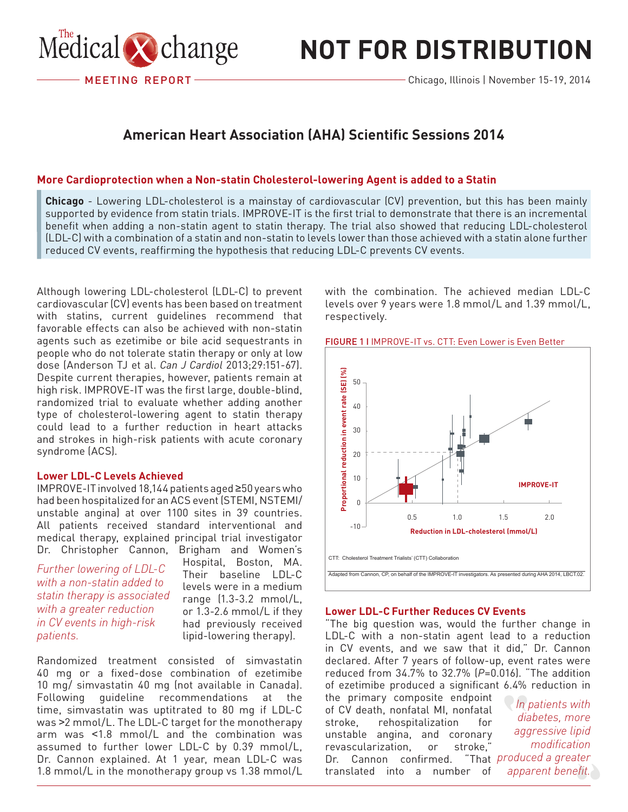

# **not for distribution**

## **American Heart Association (AHA) Scientific Sessions 2014**

### More Cardioprotection when a Non-statin Cholesterol-lowering Agent is added to a Statin

**Chicago** - Lowering LDL-cholesterol is a mainstay of cardiovascular (CV) prevention, but this has been mainly supported by evidence from statin trials. IMPROVE-IT is the first trial to demonstrate that there is an incremental benefit when adding a non-statin agent to statin therapy. The trial also showed that reducing LDL-cholesterol (LDL-C) with a combination of a statin and non-statin to levels lower than those achieved with a statin alone further reduced CV events, reaffirming the hypothesis that reducing LDL-C prevents CV events.

Although lowering LDL-cholesterol (LDL-C) to prevent cardiovascular (CV) events has been based on treatment with statins, current guidelines recommend that favorable effects can also be achieved with non-statin agents such as ezetimibe or bile acid sequestrants in people who do not tolerate statin therapy or only at low dose (Anderson TJ et al. *Can J Cardiol* 2013;29:151-67). Despite current therapies, however, patients remain at high risk. IMPROVE-IT was the first large, double-blind, randomized trial to evaluate whether adding another type of cholesterol-lowering agent to statin therapy could lead to a further reduction in heart attacks and strokes in high-risk patients with acute coronary syndrome (ACS).

#### **Lower LDL-C Levels Achieved**

IMPROVE-IT involved 18,144 patients aged ≥50 years who had been hospitalized for an ACS event (STEMI, NSTEMI/ unstable angina) at over 1100 sites in 39 countries. All patients received standard interventional and medical therapy, explained principal trial investigator Dr. Christopher Cannon, Brigham and Women's

*Further lowering of LDL-C with a non-statin added to statin therapy is associated with a greater reduction in CV events in high-risk patients.*

Hospital, Boston, MA. Their baseline LDL-C levels were in a medium range (1.3-3.2 mmol/L, or 1.3-2.6 mmol/L if they had previously received lipid-lowering therapy).

Randomized treatment consisted of simvastatin 40 mg or a fixed-dose combination of ezetimibe 10 mg/ simvastatin 40 mg (not available in Canada). Following guideline recommendations at the time, simvastatin was uptitrated to 80 mg if LDL-C was >2 mmol/L. The LDL-C target for the monotherapy arm was <1.8 mmol/L and the combination was assumed to further lower LDL-C by 0.39 mmol/L, Dr. Cannon explained. At 1 year, mean LDL-C was 1.8 mmol/L in the monotherapy group vs 1.38 mmol/L with the combination. The achieved median LDL-C levels over 9 years were 1.8 mmol/L and 1.39 mmol/L, respectively.





#### **Lower LDL-C Further Reduces CV Events**

"The big question was, would the further change in LDL-C with a non-statin agent lead to a reduction in CV events, and we saw that it did," Dr. Cannon declared. After 7 years of follow-up, event rates were reduced from 34.7% to 32.7% (*P*=0.016). "The addition of ezetimibe produced a significant 6.4% reduction in

the primary composite endpoint of CV death, nonfatal MI, nonfatal stroke, rehospitalization for unstable angina, and coronary revascularization, or stroke," Dr. Cannon confirmed. translated into a number of

*In patients with diabetes, more aggressive lipid modification produced a greater apparent benefit.*